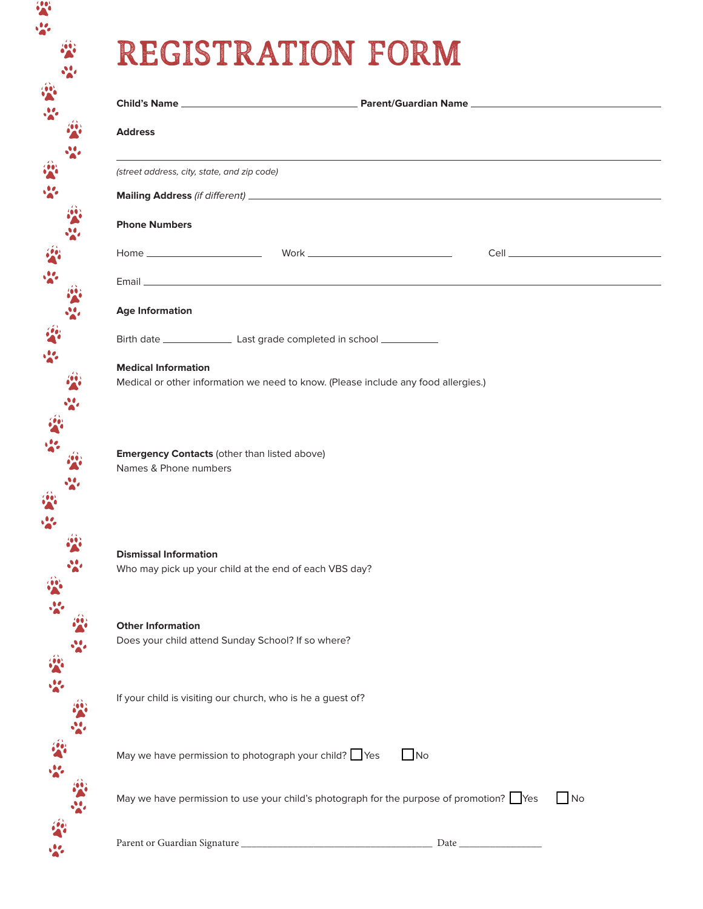## REGISTRATION FORM

**SA** 

| <b>Address</b>                                        |                                                                                         |            |
|-------------------------------------------------------|-----------------------------------------------------------------------------------------|------------|
|                                                       |                                                                                         |            |
| (street address, city, state, and zip code)           |                                                                                         |            |
|                                                       |                                                                                         |            |
| <b>Phone Numbers</b>                                  |                                                                                         |            |
|                                                       |                                                                                         |            |
|                                                       |                                                                                         |            |
| <b>Age Information</b>                                |                                                                                         |            |
|                                                       |                                                                                         |            |
| <b>Medical Information</b>                            | Medical or other information we need to know. (Please include any food allergies.)      |            |
|                                                       | <b>Emergency Contacts (other than listed above)</b>                                     |            |
|                                                       |                                                                                         |            |
| Names & Phone numbers<br><b>Dismissal Information</b> | Who may pick up your child at the end of each VBS day?                                  |            |
| <b>Other Information</b>                              | Does your child attend Sunday School? If so where?                                      |            |
|                                                       | If your child is visiting our church, who is he a guest of?                             |            |
|                                                       | May we have permission to photograph your child? Yes<br>N <sub>O</sub>                  |            |
|                                                       | May we have permission to use your child's photograph for the purpose of promotion? Yes | $\n  1$ No |